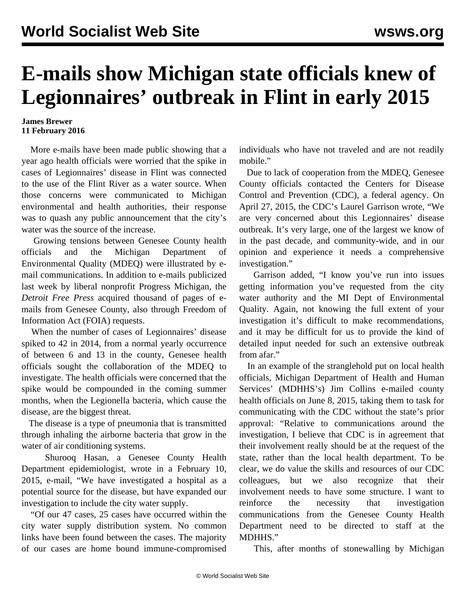## **E-mails show Michigan state officials knew of Legionnaires' outbreak in Flint in early 2015**

## **James Brewer 11 February 2016**

 More e-mails have been made public showing that a year ago health officials were worried that the spike in cases of Legionnaires' disease in Flint was connected to the use of the Flint River as a water source. When those concerns were communicated to Michigan environmental and health authorities, their response was to quash any public announcement that the city's water was the source of the increase.

 Growing tensions between Genesee County health officials and the Michigan Department of Environmental Quality (MDEQ) were illustrated by email communications. In addition to e-mails publicized [last week](/en/articles/2016/02/06/flin-f06.html) by liberal nonprofit Progress Michigan, the *Detroit Free Press* acquired thousand of pages of emails from Genesee County, also through Freedom of Information Act (FOIA) requests.

 When the number of cases of Legionnaires' disease spiked to 42 in 2014, from a normal yearly occurrence of between 6 and 13 in the county, Genesee health officials sought the collaboration of the MDEQ to investigate. The health officials were concerned that the spike would be compounded in the coming summer months, when the Legionella bacteria, which cause the disease, are the biggest threat.

 The disease is a type of pneumonia that is transmitted through inhaling the airborne bacteria that grow in the water of air conditioning systems.

 Shurooq Hasan, a Genesee County Health Department epidemiologist, wrote in a February 10, 2015, e-mail, "We have investigated a hospital as a potential source for the disease, but have expanded our investigation to include the city water supply.

 "Of our 47 cases, 25 cases have occurred within the city water supply distribution system. No common links have been found between the cases. The majority of our cases are home bound immune-compromised individuals who have not traveled and are not readily mobile."

 Due to lack of cooperation from the MDEQ, Genesee County officials contacted the Centers for Disease Control and Prevention (CDC), a federal agency. On April 27, 2015, the CDC's Laurel Garrison wrote, "We are very concerned about this Legionnaires' disease outbreak. It's very large, one of the largest we know of in the past decade, and community-wide, and in our opinion and experience it needs a comprehensive investigation."

 Garrison added, "I know you've run into issues getting information you've requested from the city water authority and the MI Dept of Environmental Quality. Again, not knowing the full extent of your investigation it's difficult to make recommendations, and it may be difficult for us to provide the kind of detailed input needed for such an extensive outbreak from afar."

 In an example of the stranglehold put on local health officials, Michigan Department of Health and Human Services' (MDHHS's) Jim Collins e-mailed county health officials on June 8, 2015, taking them to task for communicating with the CDC without the state's prior approval: "Relative to communications around the investigation, I believe that CDC is in agreement that their involvement really should be at the request of the state, rather than the local health department. To be clear, we do value the skills and resources of our CDC colleagues, but we also recognize that their involvement needs to have some structure. I want to reinforce the necessity that investigation communications from the Genesee County Health Department need to be directed to staff at the MDHHS."

This, after months of stonewalling by Michigan